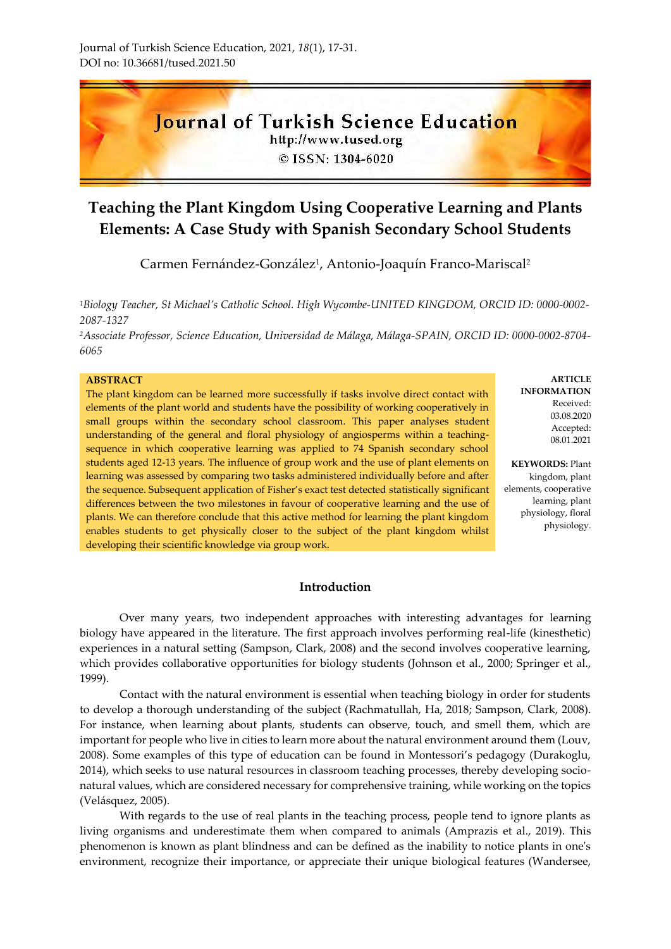

© ISSN: 1304-6020

# **Teaching the Plant Kingdom Using Cooperative Learning and Plants Elements: A Case Study with Spanish Secondary School Students**

Carmen Fernández-González<sup>1</sup>, Antonio-Joaquín Franco-Mariscal<sup>2</sup>

*<sup>1</sup>Biology Teacher, St Michael's Catholic School. High Wycombe-UNITED KINGDOM, ORCID ID: 0000-0002- 2087-1327*

*<sup>2</sup>Associate Professor, Science Education, Universidad de Málaga, Málaga-SPAIN, ORCID ID: 0000-0002-8704- 6065*

#### **ABSTRACT**

The plant kingdom can be learned more successfully if tasks involve direct contact with elements of the plant world and students have the possibility of working cooperatively in small groups within the secondary school classroom. This paper analyses student understanding of the general and floral physiology of angiosperms within a teachingsequence in which cooperative learning was applied to 74 Spanish secondary school students aged 12-13 years. The influence of group work and the use of plant elements on learning was assessed by comparing two tasks administered individually before and after the sequence. Subsequent application of Fisher's exact test detected statistically significant differences between the two milestones in favour of cooperative learning and the use of plants. We can therefore conclude that this active method for learning the plant kingdom enables students to get physically closer to the subject of the plant kingdom whilst developing their scientific knowledge via group work.

**ARTICLE INFORMATION** Received: 03.08.2020 Accepted: 08.01.2021

**KEYWORDS:** Plant kingdom, plant elements, cooperative learning, plant physiology, floral physiology.

## **Introduction**

Over many years, two independent approaches with interesting advantages for learning biology have appeared in the literature. The first approach involves performing real-life (kinesthetic) experiences in a natural setting (Sampson, Clark, 2008) and the second involves cooperative learning, which provides collaborative opportunities for biology students (Johnson et al., 2000; Springer et al., 1999).

Contact with the natural environment is essential when teaching biology in order for students to develop a thorough understanding of the subject (Rachmatullah, Ha, 2018; Sampson, Clark, 2008). For instance, when learning about plants, students can observe, touch, and smell them, which are important for people who live in cities to learn more about the natural environment around them (Louv, 2008). Some examples of this type of education can be found in Montessori's pedagogy (Durakoglu, 2014), which seeks to use natural resources in classroom teaching processes, thereby developing socionatural values, which are considered necessary for comprehensive training, while working on the topics (Velásquez, 2005).

With regards to the use of real plants in the teaching process, people tend to ignore plants as living organisms and underestimate them when compared to animals (Amprazis et al., 2019). This phenomenon is known as plant blindness and can be defined as the inability to notice plants in one's environment, recognize their importance, or appreciate their unique biological features (Wandersee,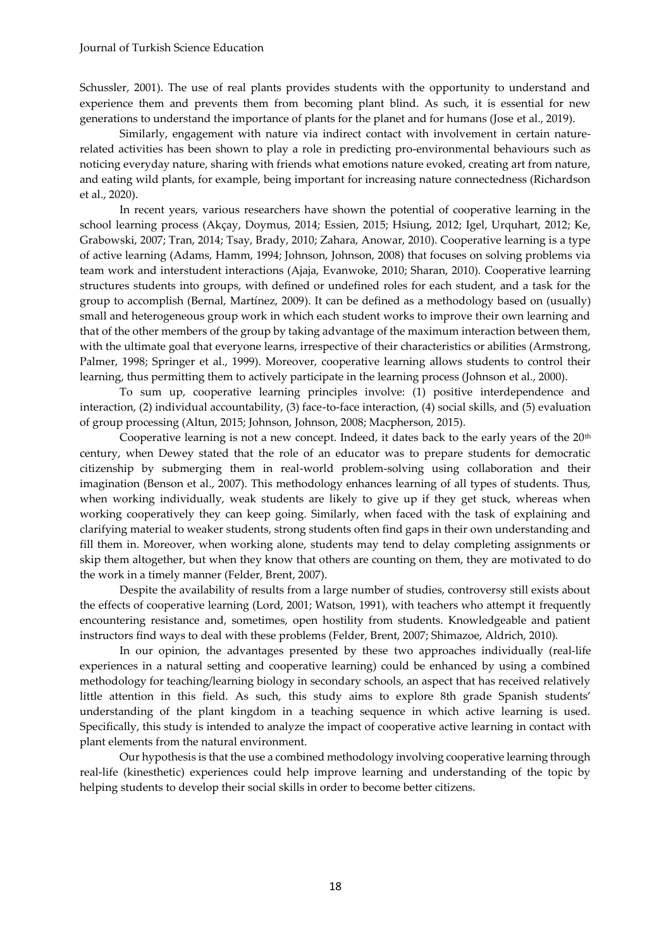Schussler, 2001). The use of real plants provides students with the opportunity to understand and experience them and prevents them from becoming plant blind. As such, it is essential for new generations to understand the importance of plants for the planet and for humans (Jose et al., 2019).

Similarly, engagement with nature via indirect contact with involvement in certain naturerelated activities has been shown to play a role in predicting pro-environmental behaviours such as noticing everyday nature, sharing with friends what emotions nature evoked, creating art from nature, and eating wild plants, for example, being important for increasing nature connectedness (Richardson et al., 2020).

In recent years, various researchers have shown the potential of cooperative learning in the school learning process (Akçay, Doymus, 2014; Essien, 2015; Hsiung, 2012; Igel, Urquhart, 2012; Ke, Grabowski, 2007; Tran, 2014; Tsay, Brady, 2010; Zahara, Anowar, 2010). Cooperative learning is a type of active learning (Adams, Hamm, 1994; Johnson, Johnson, 2008) that focuses on solving problems via team work and interstudent interactions (Ajaja, Evanwoke, 2010; Sharan, 2010). Cooperative learning structures students into groups, with defined or undefined roles for each student, and a task for the group to accomplish (Bernal, Martínez, 2009). It can be defined as a methodology based on (usually) small and heterogeneous group work in which each student works to improve their own learning and that of the other members of the group by taking advantage of the maximum interaction between them, with the ultimate goal that everyone learns, irrespective of their characteristics or abilities (Armstrong, Palmer, 1998; Springer et al., 1999). Moreover, cooperative learning allows students to control their learning, thus permitting them to actively participate in the learning process (Johnson et al., 2000).

To sum up, cooperative learning principles involve: (1) positive interdependence and interaction, (2) individual accountability, (3) face-to-face interaction, (4) social skills, and (5) evaluation of group processing (Altun, 2015; Johnson, Johnson, 2008; Macpherson, 2015).

Cooperative learning is not a new concept. Indeed, it dates back to the early years of the  $20<sup>th</sup>$ century, when Dewey stated that the role of an educator was to prepare students for democratic citizenship by submerging them in real-world problem-solving using collaboration and their imagination (Benson et al., 2007). This methodology enhances learning of all types of students. Thus, when working individually, weak students are likely to give up if they get stuck, whereas when working cooperatively they can keep going. Similarly, when faced with the task of explaining and clarifying material to weaker students, strong students often find gaps in their own understanding and fill them in. Moreover, when working alone, students may tend to delay completing assignments or skip them altogether, but when they know that others are counting on them, they are motivated to do the work in a timely manner (Felder, Brent, 2007).

Despite the availability of results from a large number of studies, controversy still exists about the effects of cooperative learning (Lord, 2001; Watson, 1991), with teachers who attempt it frequently encountering resistance and, sometimes, open hostility from students. Knowledgeable and patient instructors find ways to deal with these problems (Felder, Brent, 2007; Shimazoe, Aldrich, 2010).

In our opinion, the advantages presented by these two approaches individually (real-life experiences in a natural setting and cooperative learning) could be enhanced by using a combined methodology for teaching/learning biology in secondary schools, an aspect that has received relatively little attention in this field. As such, this study aims to explore 8th grade Spanish students' understanding of the plant kingdom in a teaching sequence in which active learning is used. Specifically, this study is intended to analyze the impact of cooperative active learning in contact with plant elements from the natural environment.

Our hypothesis is that the use a combined methodology involving cooperative learning through real-life (kinesthetic) experiences could help improve learning and understanding of the topic by helping students to develop their social skills in order to become better citizens.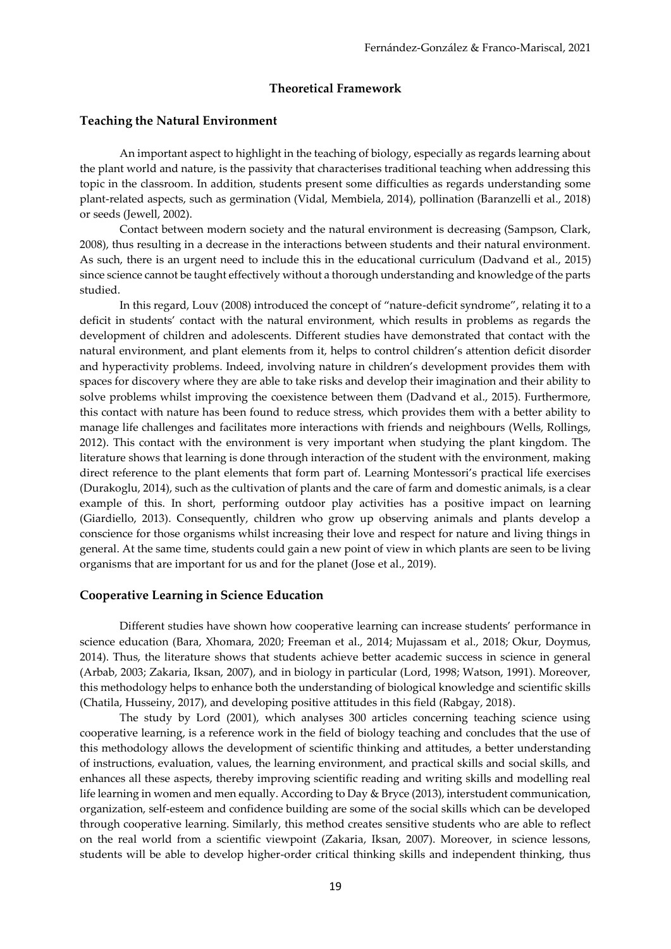#### **Theoretical Framework**

#### **Teaching the Natural Environment**

An important aspect to highlight in the teaching of biology, especially as regards learning about the plant world and nature, is the passivity that characterises traditional teaching when addressing this topic in the classroom. In addition, students present some difficulties as regards understanding some plant-related aspects, such as germination (Vidal, Membiela, 2014), pollination (Baranzelli et al., 2018) or seeds (Jewell, 2002).

Contact between modern society and the natural environment is decreasing (Sampson, Clark, 2008), thus resulting in a decrease in the interactions between students and their natural environment. As such, there is an urgent need to include this in the educational curriculum (Dadvand et al., 2015) since science cannot be taught effectively without a thorough understanding and knowledge of the parts studied.

In this regard, Louv (2008) introduced the concept of "nature-deficit syndrome", relating it to a deficit in students' contact with the natural environment, which results in problems as regards the development of children and adolescents. Different studies have demonstrated that contact with the natural environment, and plant elements from it, helps to control children's attention deficit disorder and hyperactivity problems. Indeed, involving nature in children's development provides them with spaces for discovery where they are able to take risks and develop their imagination and their ability to solve problems whilst improving the coexistence between them (Dadvand et al., 2015). Furthermore, this contact with nature has been found to reduce stress, which provides them with a better ability to manage life challenges and facilitates more interactions with friends and neighbours (Wells, Rollings, 2012). This contact with the environment is very important when studying the plant kingdom. The literature shows that learning is done through interaction of the student with the environment, making direct reference to the plant elements that form part of. Learning Montessori's practical life exercises (Durakoglu, 2014), such as the cultivation of plants and the care of farm and domestic animals, is a clear example of this. In short, performing outdoor play activities has a positive impact on learning (Giardiello, 2013). Consequently, children who grow up observing animals and plants develop a conscience for those organisms whilst increasing their love and respect for nature and living things in general. At the same time, students could gain a new point of view in which plants are seen to be living organisms that are important for us and for the planet (Jose et al., 2019).

#### **Cooperative Learning in Science Education**

Different studies have shown how cooperative learning can increase students' performance in science education (Bara, Xhomara, 2020; Freeman et al., 2014; Mujassam et al., 2018; Okur, Doymus, 2014). Thus, the literature shows that students achieve better academic success in science in general (Arbab, 2003; Zakaria, Iksan, 2007), and in biology in particular (Lord, 1998; Watson, 1991). Moreover, this methodology helps to enhance both the understanding of biological knowledge and scientific skills (Chatila, Husseiny, 2017), and developing positive attitudes in this field (Rabgay, 2018).

The study by Lord (2001), which analyses 300 articles concerning teaching science using cooperative learning, is a reference work in the field of biology teaching and concludes that the use of this methodology allows the development of scientific thinking and attitudes, a better understanding of instructions, evaluation, values, the learning environment, and practical skills and social skills, and enhances all these aspects, thereby improving scientific reading and writing skills and modelling real life learning in women and men equally. According to Day & Bryce (2013), interstudent communication, organization, self-esteem and confidence building are some of the social skills which can be developed through cooperative learning. Similarly, this method creates sensitive students who are able to reflect on the real world from a scientific viewpoint (Zakaria, Iksan, 2007). Moreover, in science lessons, students will be able to develop higher-order critical thinking skills and independent thinking, thus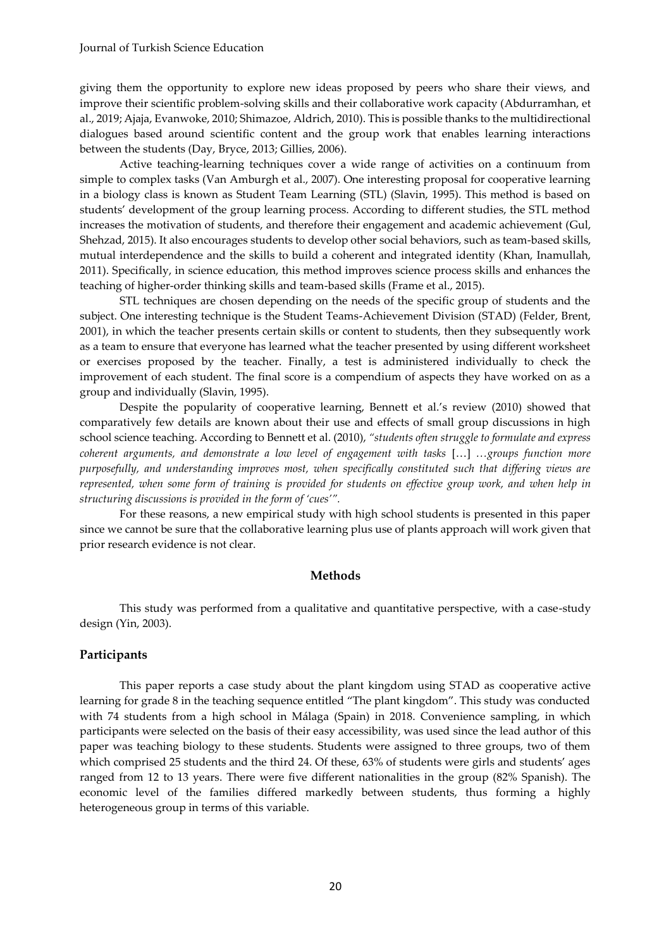giving them the opportunity to explore new ideas proposed by peers who share their views, and improve their scientific problem-solving skills and their collaborative work capacity (Abdurramhan, et al., 2019; Ajaja, Evanwoke, 2010; Shimazoe, Aldrich, 2010). This is possible thanks to the multidirectional dialogues based around scientific content and the group work that enables learning interactions between the students (Day, Bryce, 2013; Gillies, 2006).

Active teaching-learning techniques cover a wide range of activities on a continuum from simple to complex tasks (Van Amburgh et al., 2007). One interesting proposal for cooperative learning in a biology class is known as Student Team Learning (STL) (Slavin, 1995). This method is based on students' development of the group learning process. According to different studies, the STL method increases the motivation of students, and therefore their engagement and academic achievement (Gul, Shehzad, 2015). It also encourages students to develop other social behaviors, such as team-based skills, mutual interdependence and the skills to build a coherent and integrated identity (Khan, Inamullah, 2011). Specifically, in science education, this method improves science process skills and enhances the teaching of higher-order thinking skills and team-based skills (Frame et al., 2015).

STL techniques are chosen depending on the needs of the specific group of students and the subject. One interesting technique is the Student Teams-Achievement Division (STAD) (Felder, Brent, 2001), in which the teacher presents certain skills or content to students, then they subsequently work as a team to ensure that everyone has learned what the teacher presented by using different worksheet or exercises proposed by the teacher. Finally, a test is administered individually to check the improvement of each student. The final score is a compendium of aspects they have worked on as a group and individually (Slavin, 1995).

Despite the popularity of cooperative learning, Bennett et al.'s review (2010) showed that comparatively few details are known about their use and effects of small group discussions in high school science teaching. According to Bennett et al. (2010), *"students often struggle to formulate and express coherent arguments, and demonstrate a low level of engagement with tasks* […] *…groups function more purposefully, and understanding improves most, when specifically constituted such that differing views are represented, when some form of training is provided for students on effective group work, and when help in structuring discussions is provided in the form of 'cues'".*

For these reasons, a new empirical study with high school students is presented in this paper since we cannot be sure that the collaborative learning plus use of plants approach will work given that prior research evidence is not clear.

#### **Methods**

This study was performed from a qualitative and quantitative perspective, with a case-study design (Yin, 2003).

#### **Participants**

This paper reports a case study about the plant kingdom using STAD as cooperative active learning for grade 8 in the teaching sequence entitled "The plant kingdom". This study was conducted with 74 students from a high school in Málaga (Spain) in 2018. Convenience sampling, in which participants were selected on the basis of their easy accessibility, was used since the lead author of this paper was teaching biology to these students. Students were assigned to three groups, two of them which comprised 25 students and the third 24. Of these, 63% of students were girls and students' ages ranged from 12 to 13 years. There were five different nationalities in the group (82% Spanish). The economic level of the families differed markedly between students, thus forming a highly heterogeneous group in terms of this variable.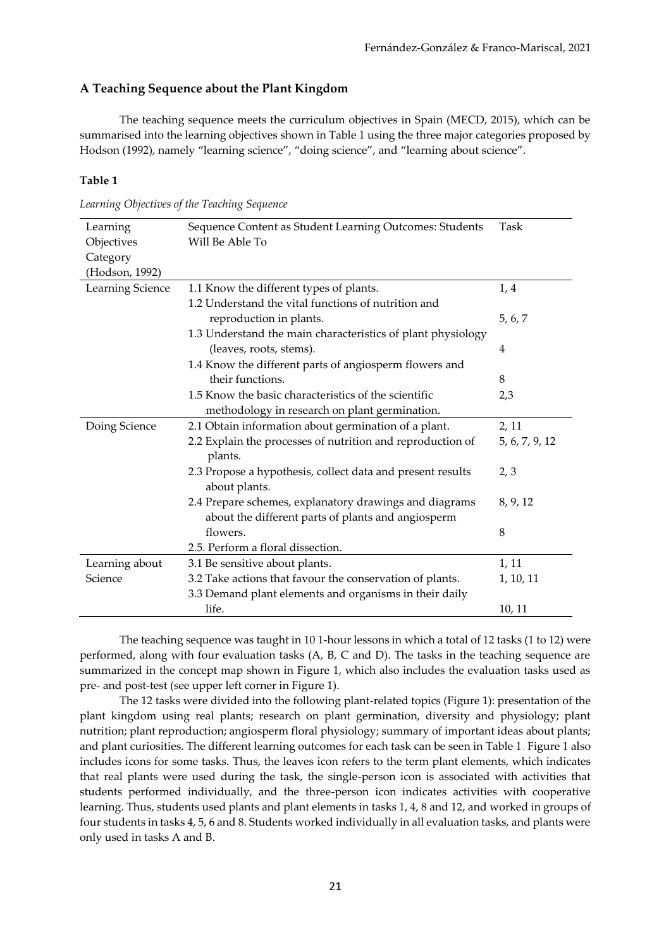## **A Teaching Sequence about the Plant Kingdom**

The teaching sequence meets the curriculum objectives in Spain (MECD, 2015), which can be summarised into the learning objectives shown in Table 1 using the three major categories proposed by Hodson (1992), namely "learning science", "doing science", and "learning about science".

## **Table 1**

| Learning<br>Objectives | Sequence Content as Student Learning Outcomes: Students<br>Will Be Able To                                   | Task           |
|------------------------|--------------------------------------------------------------------------------------------------------------|----------------|
| Category               |                                                                                                              |                |
| (Hodson, 1992)         |                                                                                                              |                |
| Learning Science       | 1.1 Know the different types of plants.                                                                      | 1,4            |
|                        | 1.2 Understand the vital functions of nutrition and                                                          |                |
|                        | reproduction in plants.                                                                                      | 5, 6, 7        |
|                        | 1.3 Understand the main characteristics of plant physiology                                                  |                |
|                        | (leaves, roots, stems).                                                                                      | 4              |
|                        | 1.4 Know the different parts of angiosperm flowers and                                                       |                |
|                        | their functions.                                                                                             | 8              |
|                        | 1.5 Know the basic characteristics of the scientific                                                         | 2,3            |
|                        | methodology in research on plant germination.                                                                |                |
| Doing Science          | 2.1 Obtain information about germination of a plant.                                                         | 2, 11          |
|                        | 2.2 Explain the processes of nutrition and reproduction of<br>plants.                                        | 5, 6, 7, 9, 12 |
|                        | 2.3 Propose a hypothesis, collect data and present results<br>about plants.                                  | 2, 3           |
|                        | 2.4 Prepare schemes, explanatory drawings and diagrams<br>about the different parts of plants and angiosperm | 8, 9, 12       |
|                        | flowers.                                                                                                     | 8              |
|                        | 2.5. Perform a floral dissection.                                                                            |                |
| Learning about         | 3.1 Be sensitive about plants.                                                                               | 1, 11          |
| Science                | 3.2 Take actions that favour the conservation of plants.                                                     | 1, 10, 11      |
|                        | 3.3 Demand plant elements and organisms in their daily                                                       |                |
|                        | life.                                                                                                        | 10, 11         |

The teaching sequence was taught in 10 1-hour lessons in which a total of 12 tasks (1 to 12) were performed, along with four evaluation tasks (A, B, C and D). The tasks in the teaching sequence are summarized in the concept map shown in Figure 1, which also includes the evaluation tasks used as pre- and post-test (see upper left corner in Figure 1).

The 12 tasks were divided into the following plant-related topics (Figure 1): presentation of the plant kingdom using real plants; research on plant germination, diversity and physiology; plant nutrition; plant reproduction; angiosperm floral physiology; summary of important ideas about plants; and plant curiosities. The different learning outcomes for each task can be seen in Table 1. Figure 1 also includes icons for some tasks. Thus, the leaves icon refers to the term plant elements, which indicates that real plants were used during the task, the single-person icon is associated with activities that students performed individually, and the three-person icon indicates activities with cooperative learning. Thus, students used plants and plant elements in tasks 1, 4, 8 and 12, and worked in groups of four students in tasks 4, 5, 6 and 8. Students worked individually in all evaluation tasks, and plants were only used in tasks A and B.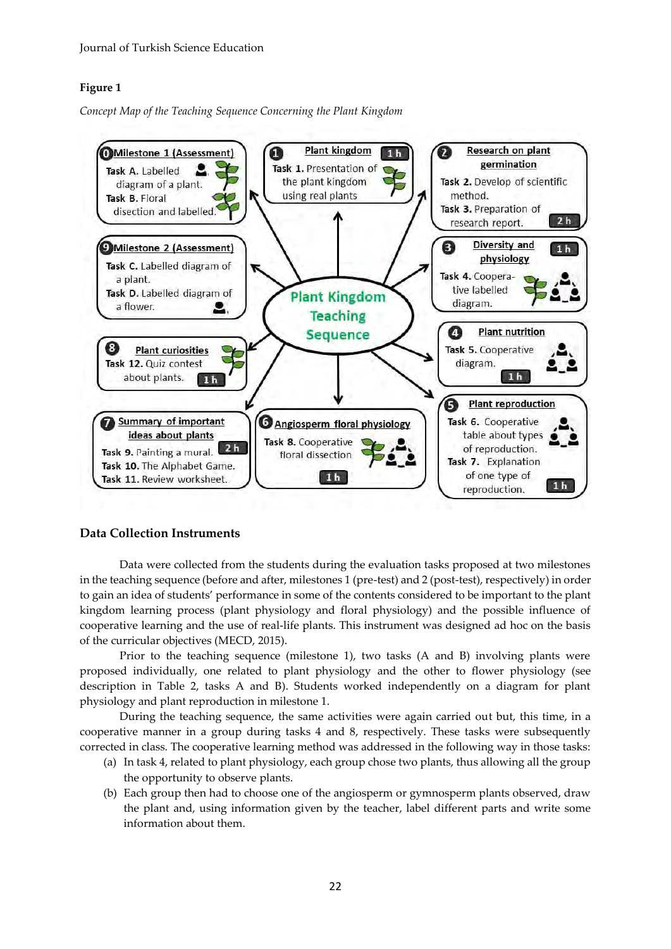## **Figure 1**

*Concept Map of the Teaching Sequence Concerning the Plant Kingdom*



## **Data Collection Instruments**

Data were collected from the students during the evaluation tasks proposed at two milestones in the teaching sequence (before and after, milestones 1 (pre-test) and 2 (post-test), respectively) in order to gain an idea of students' performance in some of the contents considered to be important to the plant kingdom learning process (plant physiology and floral physiology) and the possible influence of cooperative learning and the use of real-life plants. This instrument was designed ad hoc on the basis of the curricular objectives (MECD, 2015).

Prior to the teaching sequence (milestone 1), two tasks (A and B) involving plants were proposed individually, one related to plant physiology and the other to flower physiology (see description in Table 2, tasks A and B). Students worked independently on a diagram for plant physiology and plant reproduction in milestone 1.

During the teaching sequence, the same activities were again carried out but, this time, in a cooperative manner in a group during tasks 4 and 8, respectively. These tasks were subsequently corrected in class. The cooperative learning method was addressed in the following way in those tasks:

- (a) In task 4, related to plant physiology, each group chose two plants, thus allowing all the group the opportunity to observe plants.
- (b) Each group then had to choose one of the angiosperm or gymnosperm plants observed, draw the plant and, using information given by the teacher, label different parts and write some information about them.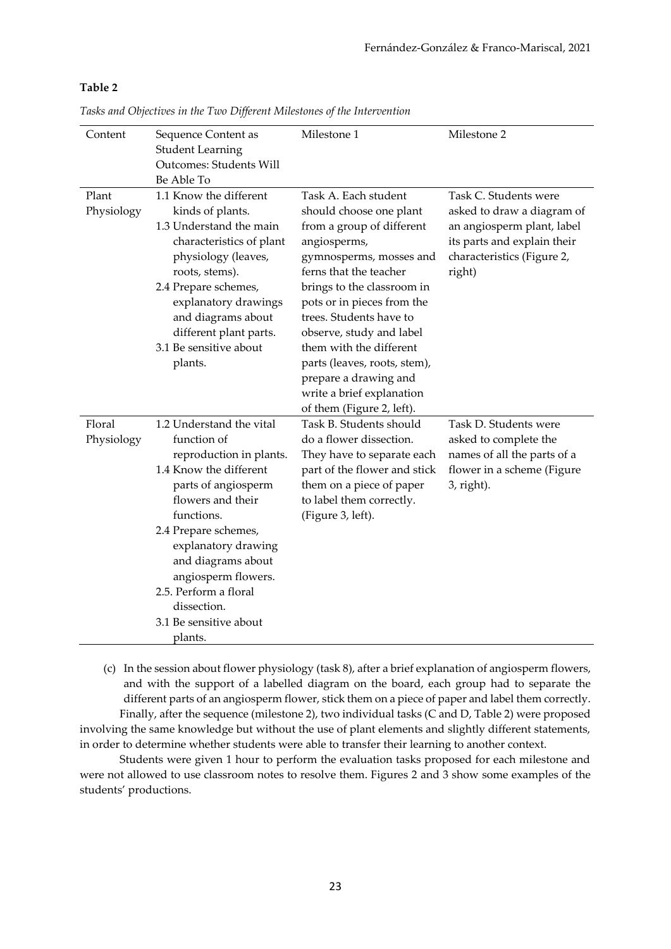## **Table 2**

|  |  |  | Tasks and Objectives in the Two Different Milestones of the Intervention |
|--|--|--|--------------------------------------------------------------------------|
|  |  |  |                                                                          |

| Content              | Sequence Content as<br><b>Student Learning</b><br><b>Outcomes: Students Will</b><br>Be Able To                                                                                                                                                                                                                                  | Milestone 1                                                                                                                                                                                                                                                                                                                                                                                                        | Milestone 2                                                                                                                                              |
|----------------------|---------------------------------------------------------------------------------------------------------------------------------------------------------------------------------------------------------------------------------------------------------------------------------------------------------------------------------|--------------------------------------------------------------------------------------------------------------------------------------------------------------------------------------------------------------------------------------------------------------------------------------------------------------------------------------------------------------------------------------------------------------------|----------------------------------------------------------------------------------------------------------------------------------------------------------|
| Plant<br>Physiology  | 1.1 Know the different<br>kinds of plants.<br>1.3 Understand the main<br>characteristics of plant<br>physiology (leaves,<br>roots, stems).<br>2.4 Prepare schemes,<br>explanatory drawings<br>and diagrams about<br>different plant parts.<br>3.1 Be sensitive about<br>plants.                                                 | Task A. Each student<br>should choose one plant<br>from a group of different<br>angiosperms,<br>gymnosperms, mosses and<br>ferns that the teacher<br>brings to the classroom in<br>pots or in pieces from the<br>trees. Students have to<br>observe, study and label<br>them with the different<br>parts (leaves, roots, stem),<br>prepare a drawing and<br>write a brief explanation<br>of them (Figure 2, left). | Task C. Students were<br>asked to draw a diagram of<br>an angiosperm plant, label<br>its parts and explain their<br>characteristics (Figure 2,<br>right) |
| Floral<br>Physiology | 1.2 Understand the vital<br>function of<br>reproduction in plants.<br>1.4 Know the different<br>parts of angiosperm<br>flowers and their<br>functions.<br>2.4 Prepare schemes,<br>explanatory drawing<br>and diagrams about<br>angiosperm flowers.<br>2.5. Perform a floral<br>dissection.<br>3.1 Be sensitive about<br>plants. | Task B. Students should<br>do a flower dissection.<br>They have to separate each<br>part of the flower and stick<br>them on a piece of paper<br>to label them correctly.<br>(Figure 3, left).                                                                                                                                                                                                                      | Task D. Students were<br>asked to complete the<br>names of all the parts of a<br>flower in a scheme (Figure<br>$3$ , right).                             |

(c) In the session about flower physiology (task 8), after a brief explanation of angiosperm flowers, and with the support of a labelled diagram on the board, each group had to separate the different parts of an angiosperm flower, stick them on a piece of paper and label them correctly. Finally, after the sequence (milestone 2), two individual tasks (C and D, Table 2) were proposed

involving the same knowledge but without the use of plant elements and slightly different statements, in order to determine whether students were able to transfer their learning to another context.

Students were given 1 hour to perform the evaluation tasks proposed for each milestone and were not allowed to use classroom notes to resolve them. Figures 2 and 3 show some examples of the students' productions.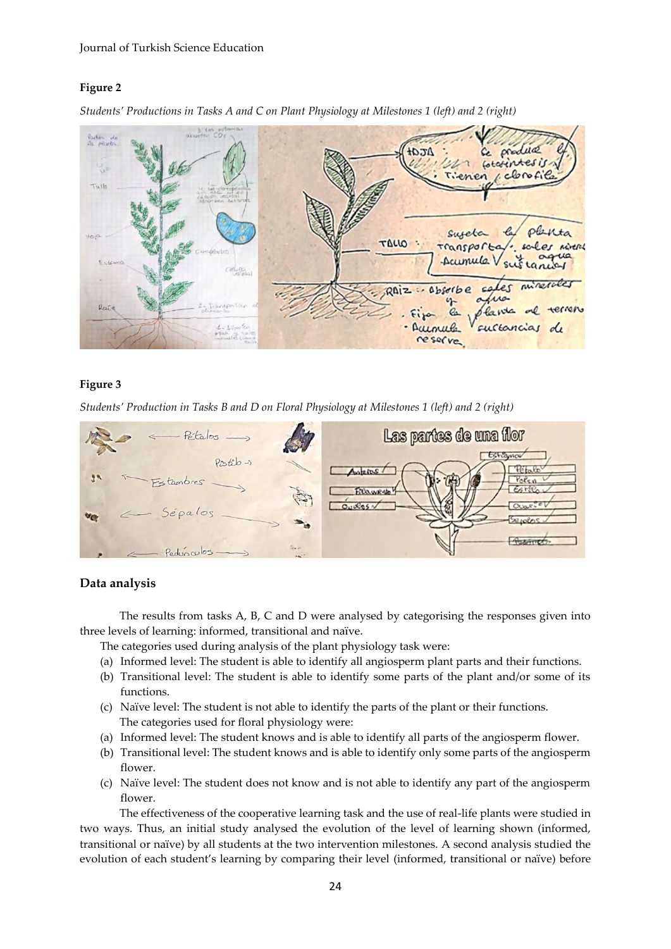#### Journal of Turkish Science Education

## **Figure 2**

 $\frac{p_{\text{turb}}}{p_{\text{turb}}}$ Ata+  $\alpha$ cotatintes is  $chocf$ Tallo plenta sureta  $unio$ **TALLO** Mirera Transport Acumula  $-191.95$ Ler mines - abserbe  $\epsilon$ Raiz Pavia  $\sim$ 1 - serie uenula sustancias de reserve



## **Figure 3**

*Students' Production in Tasks B and D on Floral Physiology at Milestones 1 (left) and 2 (right)*



## **Data analysis**

The results from tasks A, B, C and D were analysed by categorising the responses given into three levels of learning: informed, transitional and naïve.

The categories used during analysis of the plant physiology task were:

- (a) Informed level: The student is able to identify all angiosperm plant parts and their functions.
- (b) Transitional level: The student is able to identify some parts of the plant and/or some of its functions.
- (c) Naïve level: The student is not able to identify the parts of the plant or their functions. The categories used for floral physiology were:
- (a) Informed level: The student knows and is able to identify all parts of the angiosperm flower.
- (b) Transitional level: The student knows and is able to identify only some parts of the angiosperm flower.
- (c) Naïve level: The student does not know and is not able to identify any part of the angiosperm flower.

The effectiveness of the cooperative learning task and the use of real-life plants were studied in two ways. Thus, an initial study analysed the evolution of the level of learning shown (informed, transitional or naïve) by all students at the two intervention milestones. A second analysis studied the evolution of each student's learning by comparing their level (informed, transitional or naïve) before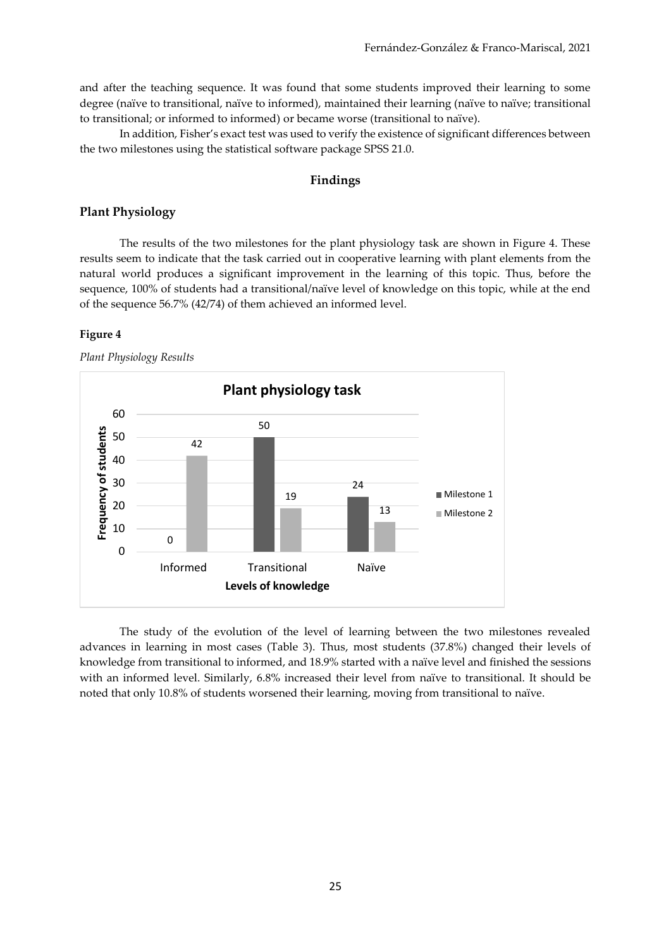and after the teaching sequence. It was found that some students improved their learning to some degree (naïve to transitional, naïve to informed), maintained their learning (naïve to naïve; transitional to transitional; or informed to informed) or became worse (transitional to naïve).

In addition, Fisher's exact test was used to verify the existence of significant differences between the two milestones using the statistical software package SPSS 21.0.

## **Findings**

## **Plant Physiology**

The results of the two milestones for the plant physiology task are shown in Figure 4. These results seem to indicate that the task carried out in cooperative learning with plant elements from the natural world produces a significant improvement in the learning of this topic. Thus, before the sequence, 100% of students had a transitional/naïve level of knowledge on this topic, while at the end of the sequence 56.7% (42/74) of them achieved an informed level.

#### **Figure 4**

*Plant Physiology Results*



The study of the evolution of the level of learning between the two milestones revealed advances in learning in most cases (Table 3). Thus, most students (37.8%) changed their levels of knowledge from transitional to informed, and 18.9% started with a naïve level and finished the sessions with an informed level. Similarly, 6.8% increased their level from naïve to transitional. It should be noted that only 10.8% of students worsened their learning, moving from transitional to naïve.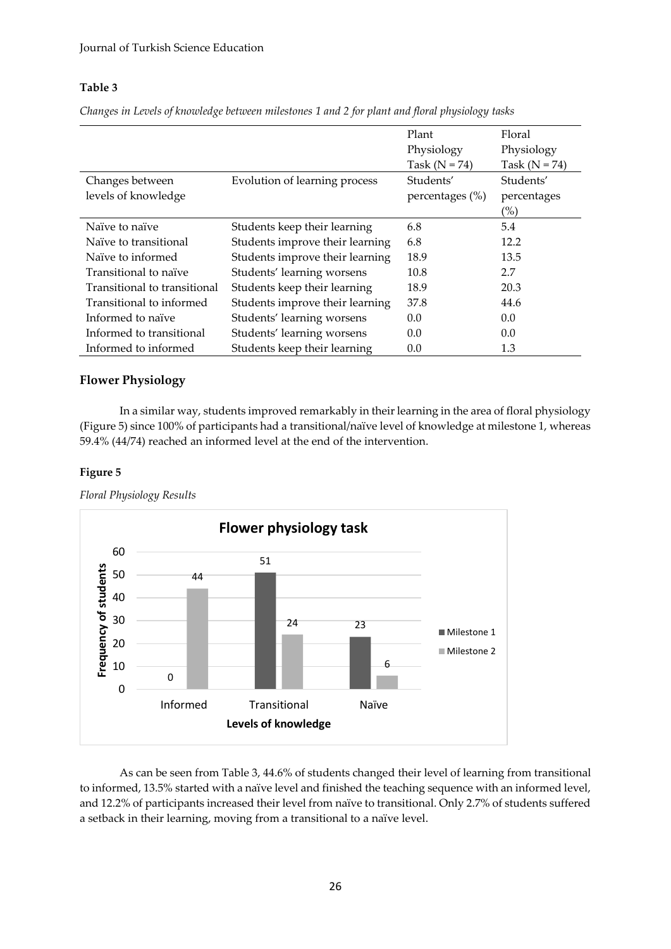## **Table 3**

*Changes in Levels of knowledge between milestones 1 and 2 for plant and floral physiology tasks* 

|                              |                                 | Plant              | Floral            |
|------------------------------|---------------------------------|--------------------|-------------------|
|                              |                                 | Physiology         | Physiology        |
|                              |                                 | Task ( $N = 74$ )  | Task ( $N = 74$ ) |
| Changes between              | Evolution of learning process   | Students'          | Students'         |
| levels of knowledge          |                                 | percentages $(\%)$ | percentages       |
|                              |                                 |                    | (%)               |
| Naïve to naïve               | Students keep their learning    | 6.8                | 5.4               |
| Naïve to transitional        | Students improve their learning | 6.8                | 12.2              |
| Naïve to informed            | Students improve their learning | 18.9               | 13.5              |
| Transitional to naïve        | Students' learning worsens      | 10.8               | 2.7               |
| Transitional to transitional | Students keep their learning    | 18.9               | 20.3              |
| Transitional to informed     | Students improve their learning | 37.8               | 44.6              |
| Informed to naïve            | Students' learning worsens      | 0.0                | 0.0               |
| Informed to transitional     | Students' learning worsens      | 0.0                | 0.0               |
| Informed to informed         | Students keep their learning    | 0.0                | 1.3               |

## **Flower Physiology**

In a similar way, students improved remarkably in their learning in the area of floral physiology (Figure 5) since 100% of participants had a transitional/naïve level of knowledge at milestone 1, whereas 59.4% (44/74) reached an informed level at the end of the intervention.

## **Figure 5**



*Floral Physiology Results*

As can be seen from Table 3, 44.6% of students changed their level of learning from transitional to informed, 13.5% started with a naïve level and finished the teaching sequence with an informed level, and 12.2% of participants increased their level from naïve to transitional. Only 2.7% of students suffered a setback in their learning, moving from a transitional to a naïve level.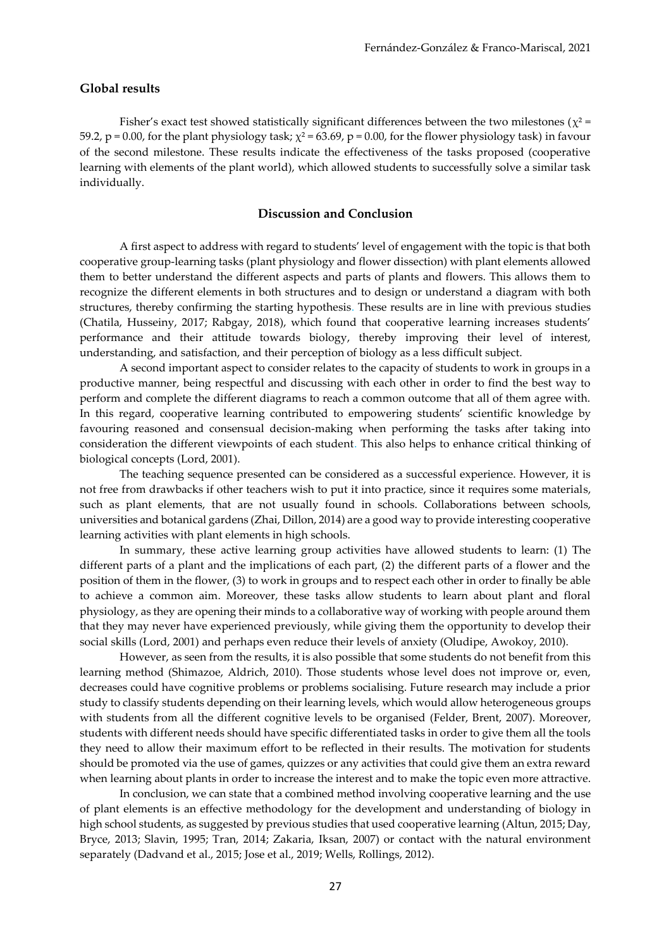#### **Global results**

Fisher's exact test showed statistically significant differences between the two milestones ( $\chi^2$  = 59.2, p = 0.00, for the plant physiology task;  $\chi^2$  = 63.69, p = 0.00, for the flower physiology task) in favour of the second milestone. These results indicate the effectiveness of the tasks proposed (cooperative learning with elements of the plant world), which allowed students to successfully solve a similar task individually.

#### **Discussion and Conclusion**

A first aspect to address with regard to students' level of engagement with the topic is that both cooperative group-learning tasks (plant physiology and flower dissection) with plant elements allowed them to better understand the different aspects and parts of plants and flowers. This allows them to recognize the different elements in both structures and to design or understand a diagram with both structures, thereby confirming the starting hypothesis. These results are in line with previous studies (Chatila, Husseiny, 2017; Rabgay, 2018), which found that cooperative learning increases students' performance and their attitude towards biology, thereby improving their level of interest, understanding, and satisfaction, and their perception of biology as a less difficult subject.

A second important aspect to consider relates to the capacity of students to work in groups in a productive manner, being respectful and discussing with each other in order to find the best way to perform and complete the different diagrams to reach a common outcome that all of them agree with. In this regard, cooperative learning contributed to empowering students' scientific knowledge by favouring reasoned and consensual decision-making when performing the tasks after taking into consideration the different viewpoints of each student. This also helps to enhance critical thinking of biological concepts (Lord, 2001).

The teaching sequence presented can be considered as a successful experience. However, it is not free from drawbacks if other teachers wish to put it into practice, since it requires some materials, such as plant elements, that are not usually found in schools. Collaborations between schools, universities and botanical gardens (Zhai, Dillon, 2014) are a good way to provide interesting cooperative learning activities with plant elements in high schools.

In summary, these active learning group activities have allowed students to learn: (1) The different parts of a plant and the implications of each part, (2) the different parts of a flower and the position of them in the flower, (3) to work in groups and to respect each other in order to finally be able to achieve a common aim. Moreover, these tasks allow students to learn about plant and floral physiology, as they are opening their minds to a collaborative way of working with people around them that they may never have experienced previously, while giving them the opportunity to develop their social skills (Lord, 2001) and perhaps even reduce their levels of anxiety (Oludipe, Awokoy, 2010).

However, as seen from the results, it is also possible that some students do not benefit from this learning method (Shimazoe, Aldrich, 2010). Those students whose level does not improve or, even, decreases could have cognitive problems or problems socialising. Future research may include a prior study to classify students depending on their learning levels, which would allow heterogeneous groups with students from all the different cognitive levels to be organised (Felder, Brent, 2007). Moreover, students with different needs should have specific differentiated tasks in order to give them all the tools they need to allow their maximum effort to be reflected in their results. The motivation for students should be promoted via the use of games, quizzes or any activities that could give them an extra reward when learning about plants in order to increase the interest and to make the topic even more attractive.

In conclusion, we can state that a combined method involving cooperative learning and the use of plant elements is an effective methodology for the development and understanding of biology in high school students, as suggested by previous studies that used cooperative learning (Altun, 2015; Day, Bryce, 2013; Slavin, 1995; Tran, 2014; Zakaria, Iksan, 2007) or contact with the natural environment separately (Dadvand et al., 2015; Jose et al., 2019; Wells, Rollings, 2012).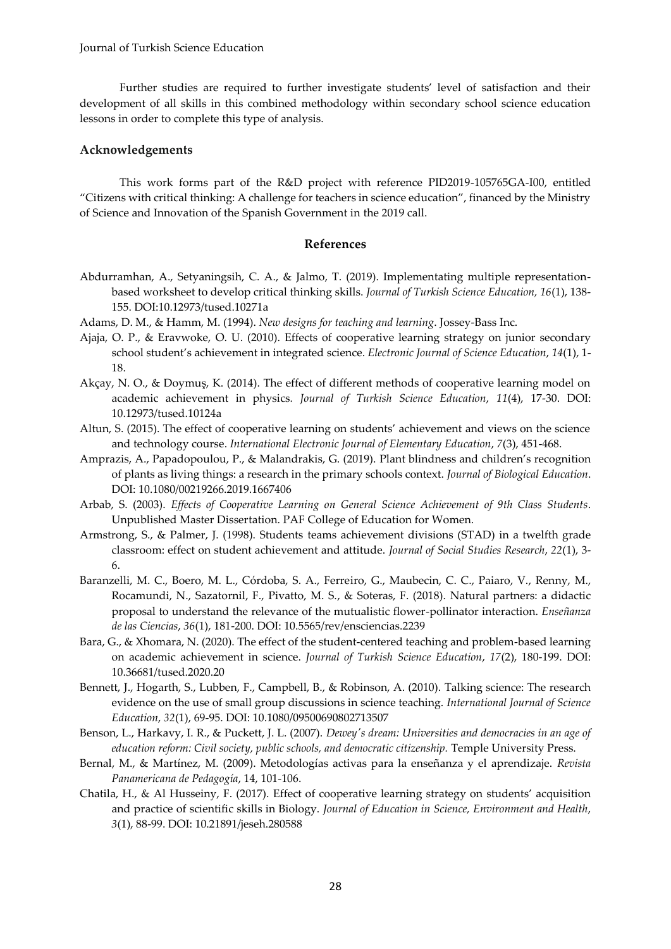#### Journal of Turkish Science Education

Further studies are required to further investigate students' level of satisfaction and their development of all skills in this combined methodology within secondary school science education lessons in order to complete this type of analysis.

#### **Acknowledgements**

This work forms part of the R&D project with reference PID2019-105765GA-I00, entitled "Citizens with critical thinking: A challenge for teachers in science education", financed by the Ministry of Science and Innovation of the Spanish Government in the 2019 call.

## **References**

- Abdurramhan, A., Setyaningsih, C. A., & Jalmo, T. (2019). Implementating multiple representationbased worksheet to develop critical thinking skills. *Journal of Turkish Science Education, 16*(1), 138- 155. DOI:10.12973/tused.10271a
- Adams, D. M., & Hamm, M. (1994). *New designs for teaching and learning*. Jossey-Bass Inc.
- Ajaja, O. P., & Eravwoke, O. U. (2010). Effects of cooperative learning strategy on junior secondary school student's achievement in integrated science. *Electronic Journal of Science Education*, *14*(1), 1- 18.
- Akçay, N. O., & Doymuş, K. (2014). The effect of different methods of cooperative learning model on academic achievement in physics*. Journal of Turkish Science Education*, *11*(4), 17-30. DOI: [10.12973/tused.10124a](https://www.researchgate.net/deref/http%3A%2F%2Fdx.doi.org%2F10.12973%2Ftused.10124a)
- Altun, S. (2015). The effect of cooperative learning on students' achievement and views on the science and technology course. *International Electronic Journal of Elementary Education*, *7*(3), 451-468.
- Amprazis, A., Papadopoulou, P., & Malandrakis, G. (2019). Plant blindness and children's recognition of plants as living things: a research in the primary schools context. *Journal of Biological Education*. DOI: 10.1080/00219266.2019.1667406
- Arbab, S. (2003). *Effects of Cooperative Learning on General Science Achievement of 9th Class Students*. Unpublished Master Dissertation. PAF College of Education for Women.
- Armstrong, S., & Palmer, J. (1998). Students teams achievement divisions (STAD) in a twelfth grade classroom: effect on student achievement and attitude. *Journal of Social Studies Research*, *22*(1), 3- 6.
- Baranzelli, M. C., Boero, M. L., Córdoba, S. A., Ferreiro, G., Maubecin, C. C., Paiaro, V., Renny, M., Rocamundi, N., Sazatornil, F., Pivatto, M. S., & Soteras, F. (2018). Natural partners: a didactic proposal to understand the relevance of the mutualistic flower-pollinator interaction. *Enseñanza de las Ciencias*, *36*(1), 181-200. DOI: [10.5565/rev/ensciencias.2239](https://doi.org/10.5565/rev/ensciencias.2239)
- Bara, G., & Xhomara, N. (2020). The effect of the student-centered teaching and problem-based learning on academic achievement in science. *Journal of Turkish Science Education*, *17*(2), 180-199. DOI: [10.36681/tused.2020.20](https://www.researchgate.net/deref/http%3A%2F%2Fdx.doi.org%2F10.36681%2Ftused.2020.20)
- Bennett, J., Hogarth, S., Lubben, F., Campbell, B., & Robinson, A. (2010). Talking science: The research evidence on the use of small group discussions in science teaching. *International Journal of Science Education*, *32*(1), 69-95. DOI: 10.1080/09500690802713507
- Benson, L., Harkavy, I. R., & Puckett, J. L. (2007). *Dewey's dream: Universities and democracies in an age of education reform: Civil society, public schools, and democratic citizenship.* Temple University Press.
- Bernal, M., & Martínez, M. (2009). Metodologías activas para la enseñanza y el aprendizaje. *Revista Panamericana de Pedagogía*, 14, 101-106.
- Chatila, H., & Al Husseiny, F. (2017). Effect of cooperative learning strategy on students' acquisition and practice of scientific skills in Biology. *Journal of Education in Science, Environment and Health*, *3*(1), 88-99. DOI: [10.21891/jeseh.280588](https://www.researchgate.net/deref/http%3A%2F%2Fdx.doi.org%2F10.21891%2Fjeseh.280588)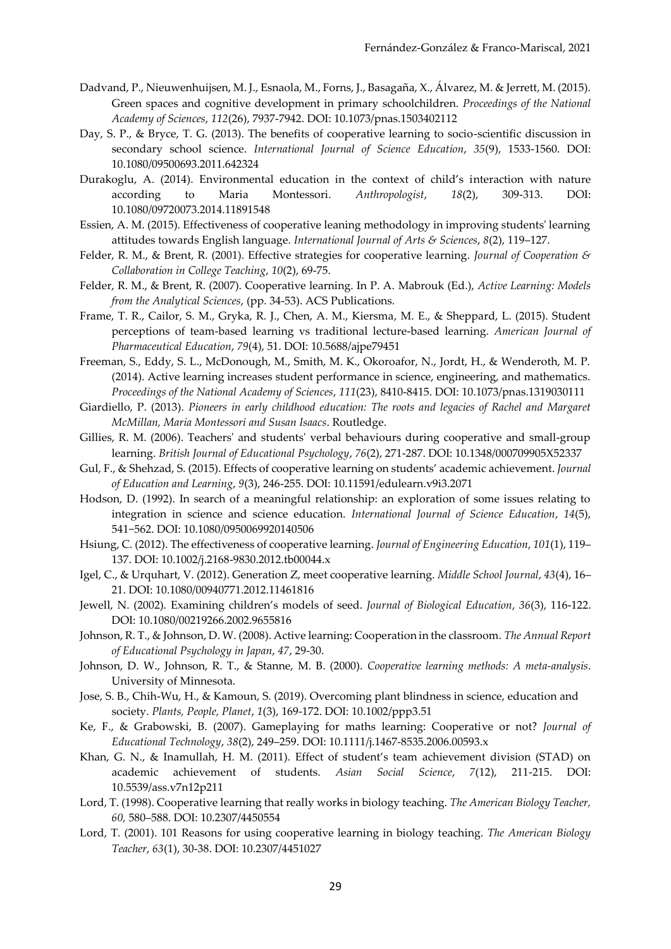- Dadvand, P., Nieuwenhuijsen, M. J., Esnaola, M., Forns, J., Basagaña, X., Álvarez, M. & Jerrett, M. (2015). Green spaces and cognitive development in primary schoolchildren. *Proceedings of the National Academy of Sciences*, *112*(26), 7937-7942. DOI[: 10.1073/pnas.1503402112](https://doi.org/10.1073/pnas.1503402112)
- Day, S. P., & Bryce, T. G. (2013). The benefits of cooperative learning to socio-scientific discussion in secondary school science. *International Journal of Science Education*, *35*(9), 1533-1560. DOI: [10.1080/09500693.2011.642324](https://doi.org/10.1080/09500693.2011.642324)
- Durakoglu, A. (2014). Environmental education in the context of child's interaction with nature according to Maria Montessori. *Anthropologist*, *18*(2), 309-313. DOI: [10.1080/09720073.2014.11891548](https://doi.org/10.1080/09720073.2014.11891548)
- Essien, A. M. (2015). Effectiveness of cooperative leaning methodology in improving students' learning attitudes towards English language. *International Journal of Arts & Sciences*, *8*(2), 119–127.
- Felder, R. M., & Brent, R. (2001). Effective strategies for cooperative learning. *Journal of Cooperation & Collaboration in College Teaching*, *10*(2), 69-75.
- Felder, R. M., & Brent, R. (2007). Cooperative learning. In P. A. Mabrouk (Ed.), *Active Learning: Models from the Analytical Sciences*, (pp. 34-53). ACS Publications.
- Frame, T. R., Cailor, S. M., Gryka, R. J., Chen, A. M., Kiersma, M. E., & Sheppard, L. (2015). Student perceptions of team-based learning vs traditional lecture-based learning. *American Journal of Pharmaceutical Education*, *79*(4), 51. DOI: [10.5688/ajpe79451](https://dx.doi.org/10.5688%2Fajpe79451)
- Freeman, S., Eddy, S. L., McDonough, M., Smith, M. K., Okoroafor, N., Jordt, H., & Wenderoth, M. P. (2014). Active learning increases student performance in science, engineering, and mathematics. *Proceedings of the National Academy of Sciences*, *111*(23), 8410-8415. DOI: [10.1073/pnas.1319030111](https://doi.org/10.1073/pnas.1319030111)
- Giardiello, P. (2013). *Pioneers in early childhood education: The roots and legacies of Rachel and Margaret McMillan, Maria Montessori and Susan Isaacs*. Routledge.
- Gillies, R. M. (2006). Teachers' and students' verbal behaviours during cooperative and small-group learning. *British Journal of Educational Psychology*, *76*(2), 271-287. DOI: 10.1348/000709905X52337
- Gul, F., & Shehzad, S. (2015). Effects of cooperative learning on students' academic achievement. *Journal of Education and Learning*, *9*(3), 246-255. DOI: [10.11591/edulearn.v9i3.2071](https://www.researchgate.net/deref/http%3A%2F%2Fdx.doi.org%2F10.11591%2Fedulearn.v9i3.2071)
- Hodson, D. (1992). In search of a meaningful relationship: an exploration of some issues relating to integration in science and science education. *International Journal of Science Education*, *14*(5), 541−562. DOI: [10.1080/0950069920140506](https://doi.org/10.1080/0950069920140506)
- Hsiung, C. (2012). The effectiveness of cooperative learning. *Journal of Engineering Education*, *101*(1), 119– 137. DOI: [10.1002/j.2168-9830.2012.tb00044.x](https://doi.org/10.1002/j.2168-9830.2012.tb00044.x)
- Igel, C., & Urquhart, V. (2012). Generation Z, meet cooperative learning. *Middle School Journal*, *43*(4), 16– 21. DOI: [10.1080/00940771.2012.11461816](https://doi.org/10.1080/00940771.2012.11461816)
- Jewell, N. (2002). Examining children's models of seed. *Journal of Biological Education*, *36*(3), 116-122. DOI: [10.1080/00219266.2002.9655816](https://doi.org/10.1080/00219266.2002.9655816)
- Johnson, R. T., & Johnson, D. W. (2008). Active learning: Cooperation in the classroom. *The Annual Report of Educational Psychology in Japan*, *47*, 29-30.
- Johnson, D. W., Johnson, R. T., & Stanne, M. B. (2000). *Cooperative learning methods: A meta-analysis*. University of Minnesota.
- Jose, S. B., Chih-Wu, H., & Kamoun, S. (2019). Overcoming plant blindness in science, education and society. *Plants, People, Planet*, *1*(3), 169-172. DOI: [10.1002/ppp3.51](https://doi.org/10.1002/ppp3.51)
- Ke, F., & Grabowski, B. (2007). Gameplaying for maths learning: Cooperative or not? *Journal of Educational Technology*, *38*(2), 249–259. DOI: [10.1111/j.1467-8535.2006.00593.x](https://doi.org/10.1111/j.1467-8535.2006.00593.x)
- Khan, G. N., & Inamullah, H. M. (2011). Effect of student's team achievement division (STAD) on academic achievement of students. *Asian Social Science*, *7*(12), 211-215. DOI: [10.5539/ass.v7n12p211](https://doi.org/10.5539/ass.v7n12p211)
- Lord, T. (1998). Cooperative learning that really works in biology teaching. *The American Biology Teacher, 60,* 580–588. DOI: [10.2307/4450554](https://doi.org/10.2307/4450554)
- Lord, T. (2001). 101 Reasons for using cooperative learning in biology teaching. *The American Biology Teacher*, *63*(1), 30-38. DOI: [10.2307/4451027](https://doi.org/10.2307/4451027)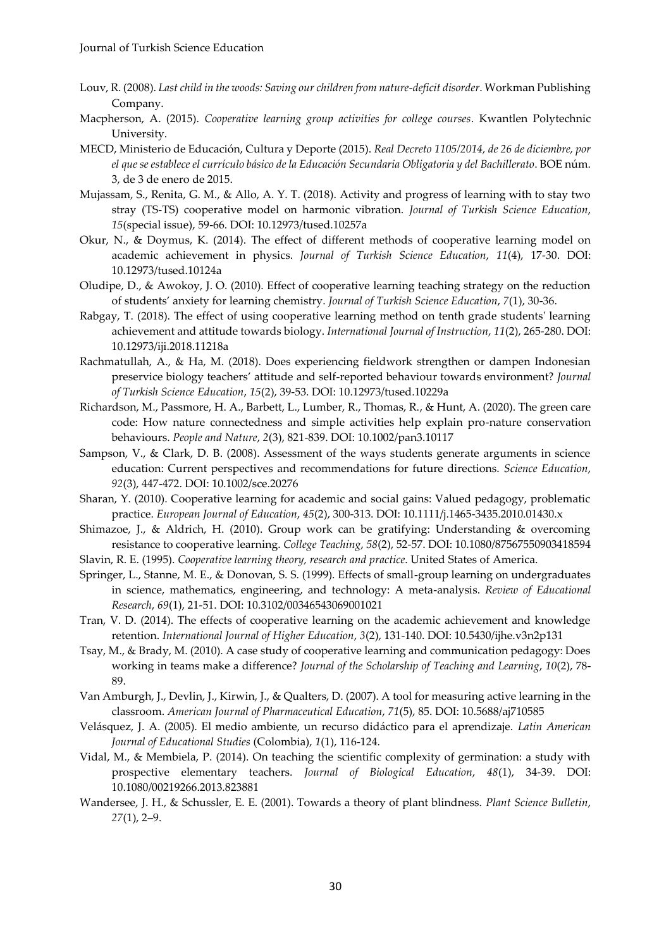- Louv, R. (2008). *Last child in the woods: Saving our children from nature-deficit disorder*. Workman Publishing Company.
- Macpherson, A. (2015). *Cooperative learning group activities for college courses*. Kwantlen Polytechnic University.
- MECD, Ministerio de Educación, Cultura y Deporte (2015). *Real Decreto 1105/2014, de 26 de diciembre, por el que se establece el currículo básico de la Educación Secundaria Obligatoria y del Bachillerato*. BOE núm. 3, de 3 de enero de 2015.
- Mujassam, S., Renita, G. M., & Allo, A. Y. T. (2018). Activity and progress of learning with to stay two stray (TS-TS) cooperative model on harmonic vibration. *Journal of Turkish Science Education*, *15*(special issue), 59-66. DOI: 10.12973/tused.10257a
- Okur, N., & Doymus, K. (2014). The effect of different methods of cooperative learning model on academic achievement in physics. *Journal of Turkish Science Education*, *11*(4), 17-30. DOI: [10.12973/tused.10124a](https://www.researchgate.net/deref/http%3A%2F%2Fdx.doi.org%2F10.12973%2Ftused.10124a)
- Oludipe, D., & Awokoy, J. O. (2010). Effect of cooperative learning teaching strategy on the reduction of students' anxiety for learning chemistry. *Journal of Turkish Science Education*, *7*(1), 30-36.
- Rabgay, T. (2018). The effect of using cooperative learning method on tenth grade students' learning achievement and attitude towards biology. *International Journal of Instruction*, *11*(2), 265-280. DOI: [10.12973/iji.2018.11218a](https://www.researchgate.net/deref/http%3A%2F%2Fdx.doi.org%2F10.12973%2Fiji.2018.11218a)
- Rachmatullah, A., & Ha, M. (2018). Does experiencing fieldwork strengthen or dampen Indonesian preservice biology teachers' attitude and self-reported behaviour towards environment? *Journal of Turkish Science Education*, *15*(2), 39-53. DOI[: 10.12973/tused.10229a](https://www.researchgate.net/deref/http%3A%2F%2Fdx.doi.org%2F10.12973%2Ftused.10229a)
- Richardson, M., Passmore, H. A., Barbett, L., Lumber, R., Thomas, R., & Hunt, A. (2020). The green care code: How nature connectedness and simple activities help explain pro-nature conservation behaviours. *People and Nature*, *2*(3), 821-839. DOI: [10.1002/pan3.10117](https://doi.org/10.1002/pan3.10117)
- Sampson, V., & Clark, D. B. (2008). Assessment of the ways students generate arguments in science education: Current perspectives and recommendations for future directions. *Science Education*, *92*(3), 447-472. DOI: [10.1002/sce.20276](https://doi.org/10.1002/sce.20276)
- Sharan, Y. (2010). Cooperative learning for academic and social gains: Valued pedagogy, problematic practice. *European Journal of Education*, *45*(2), 300-313. DOI: [10.1111/j.1465-3435.2010.01430.x](https://www.researchgate.net/deref/http%3A%2F%2Fdx.doi.org%2F10.1111%2Fj.1465-3435.2010.01430.x)
- Shimazoe, J., & Aldrich, H. (2010). Group work can be gratifying: Understanding & overcoming resistance to cooperative learning. *College Teaching*, *58*(2), 52-57. DOI: [10.1080/87567550903418594](https://www.researchgate.net/deref/http%3A%2F%2Fdx.doi.org%2F10.1080%2F87567550903418594)
- Slavin, R. E. (1995). *Cooperative learning theory, research and practice*. United States of America.
- Springer, L., Stanne, M. E., & Donovan, S. S. (1999). Effects of small-group learning on undergraduates in science, mathematics, engineering, and technology: A meta-analysis. *Review of Educational Research*, *69*(1), 21-51. DOI: [10.3102/00346543069001021](https://www.researchgate.net/deref/http%3A%2F%2Fdx.doi.org%2F10.3102%2F00346543069001021)
- Tran, V. D. (2014). The effects of cooperative learning on the academic achievement and knowledge retention. *International Journal of Higher Education*, *3*(2), 131-140. DOI: [10.5430/ijhe.v3n2p131](https://www.researchgate.net/deref/http%3A%2F%2Fdx.doi.org%2F10.5430%2Fijhe.v3n2p131)
- Tsay, M., & Brady, M. (2010). A case study of cooperative learning and communication pedagogy: Does working in teams make a difference? *Journal of the Scholarship of Teaching and Learning*, *10*(2), 78- 89.
- Van Amburgh, J., Devlin, J., Kirwin, J., & Qualters, D. (2007). A tool for measuring active learning in the classroom. *American Journal of Pharmaceutical Education*, *71*(5), 85. DOI: [10.5688/aj710585](https://www.researchgate.net/deref/http%3A%2F%2Fdx.doi.org%2F10.5688%2Faj710585)
- Velásquez, J. A. (2005). El medio ambiente, un recurso didáctico para el aprendizaje. *Latin American Journal of Educational Studies* (Colombia), *1*(1), 116-124.
- Vidal, M., & Membiela, P. (2014). On teaching the scientific complexity of germination: a study with prospective elementary teachers. *Journal of Biological Education*, *48*(1), 34-39. DOI: [10.1080/00219266.2013.823881](https://www.researchgate.net/deref/http%3A%2F%2Fdx.doi.org%2F10.1080%2F00219266.2013.823881)
- Wandersee, J. H., & Schussler, E. E. (2001). Towards a theory of plant blindness. *Plant Science Bulletin*, *27*(1), 2–9.